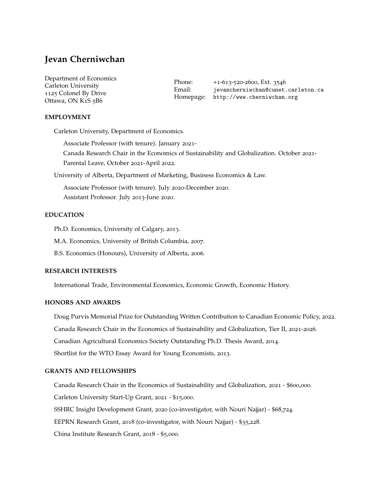# **Jevan Cherniwchan**

| Department of Economics         | Phone: | +1-613-520-2600, Ext. 3546                                                 |
|---------------------------------|--------|----------------------------------------------------------------------------|
| Carleton University             | Email: | jevancherniwchan@cunet.carleton.ca<br>Homepage: http://www.cherniwchan.org |
| 1125 Colonel By Drive           |        |                                                                            |
| Ottawa, ON K <sub>1</sub> S 5B6 |        |                                                                            |

# **EMPLOYMENT**

Carleton University, Department of Economics.

Associate Professor (with tenure). January 2021- Canada Research Chair in the Economics of Sustainability and Globalization. October 2021- Parental Leave, October 2021-April 2022.

University of Alberta, Department of Marketing, Business Economics & Law.

Associate Professor (with tenure). July 2020-December 2020. Assistant Professor. July 2013-June 2020.

# **EDUCATION**

Ph.D. Economics, University of Calgary, 2013.

M.A. Economics, University of British Columbia, 2007.

B.S. Economics (Honours), University of Alberta, 2006.

## **RESEARCH INTERESTS**

International Trade, Environmental Economics, Economic Growth, Economic History.

# **HONORS AND AWARDS**

Doug Purvis Memorial Prize for Outstanding Written Contribution to Canadian Economic Policy, 2022. Canada Research Chair in the Economics of Sustainability and Globalization, Tier II, 2021-2026. Canadian Agricultural Economics Society Outstanding Ph.D. Thesis Award, 2014. Shortlist for the WTO Essay Award for Young Economists, 2013.

# **GRANTS AND FELLOWSHIPS**

Canada Research Chair in the Economics of Sustainability and Globalization, 2021 - \$600,000. Carleton University Start-Up Grant, 2021 - \$15,000. SSHRC Insight Development Grant, 2020 (co-investigator, with Nouri Najjar) - \$68,724. EEPRN Research Grant, 2018 (co-investigator, with Nouri Najjar) - \$35,228. China Institute Research Grant, 2018 - \$5,000.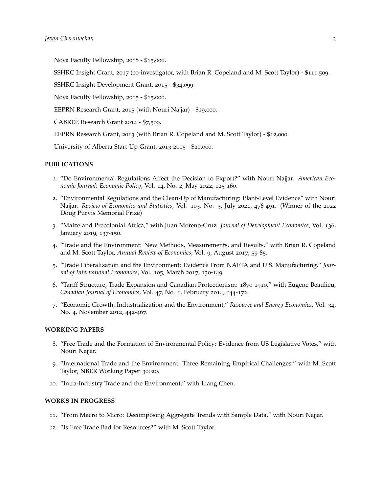Nova Faculty Fellowship, 2018 - \$15,000.

SSHRC Insight Grant, 2017 (co-investigator, with Brian R. Copeland and M. Scott Taylor) - \$111,509.

SSHRC Insight Development Grant, 2015 - \$34,099.

Nova Faculty Fellowship, 2015 - \$15,000.

EEPRN Research Grant, 2015 (with Nouri Najjar) - \$19,000.

CABREE Research Grant 2014 - \$7,500.

EEPRN Research Grant, 2013 (with Brian R. Copeland and M. Scott Taylor) - \$12,000.

University of Alberta Start-Up Grant, 2013-2015 - \$20,000.

# **PUBLICATIONS**

- 1. "Do Environmental Regulations Affect the Decision to Export?" with Nouri Najjar. *American Economic Journal: Economic Policy*, Vol. 14, No. 2, May 2022, 125-160.
- 2. "Environmental Regulations and the Clean-Up of Manufacturing: Plant-Level Evidence" with Nouri Najjar. *Review of Economics and Statistics*, Vol. 103, No. 3, July 2021, 476-491. (Winner of the 2022 Doug Purvis Memorial Prize)
- 3. "Maize and Precolonial Africa," with Juan Moreno-Cruz. *Journal of Development Economics*, Vol. 136, January 2019, 137-150.
- 4. "Trade and the Environment: New Methods, Measurements, and Results," with Brian R. Copeland and M. Scott Taylor, *Annual Review of Economics*, Vol. 9, August 2017, 59-85.
- 5. "Trade Liberalization and the Environment: Evidence From NAFTA and U.S. Manufacturing." *Journal of International Economics*, Vol. 105, March 2017, 130-149.
- 6. "Tariff Structure, Trade Expansion and Canadian Protectionism: 1870-1910," with Eugene Beaulieu, *Canadian Journal of Economics*, Vol. 47, No. 1, February 2014, 144-172.
- 7. "Economic Growth, Industrialization and the Environment," *Resource and Energy Economics*, Vol. 34, No. 4, November 2012, 442-467.

#### **WORKING PAPERS**

- 8. "Free Trade and the Formation of Environmental Policy: Evidence from US Legislative Votes," with Nouri Najjar.
- 9. "International Trade and the Environment: Three Remaining Empirical Challenges," with M. Scott Taylor, NBER Working Paper 30020.
- 10. "Intra-Industry Trade and the Environment," with Liang Chen.

#### **WORKS IN PROGRESS**

- 11. "From Macro to Micro: Decomposing Aggregate Trends with Sample Data," with Nouri Najjar.
- 12. "Is Free Trade Bad for Resources?" with M. Scott Taylor.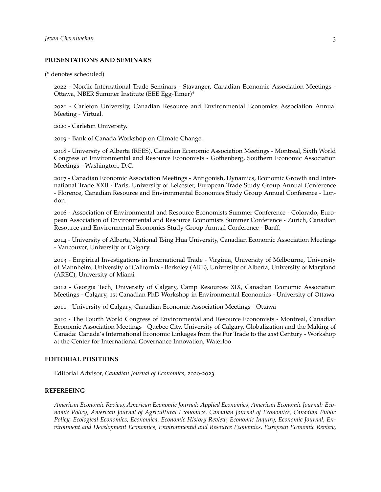# **PRESENTATIONS AND SEMINARS**

(\* denotes scheduled)

2022 - Nordic International Trade Seminars - Stavanger, Canadian Economic Association Meetings - Ottawa, NBER Summer Institute (EEE Egg-Timer)\*

2021 - Carleton University, Canadian Resource and Environmental Economics Association Annual Meeting - Virtual.

2020 - Carleton University.

2019 - Bank of Canada Workshop on Climate Change.

2018 - University of Alberta (REES), Canadian Economic Association Meetings - Montreal, Sixth World Congress of Environmental and Resource Economists - Gothenberg, Southern Economic Association Meetings - Washington, D.C.

2017 - Canadian Economic Association Meetings - Antigonish, Dynamics, Economic Growth and International Trade XXII - Paris, University of Leicester, European Trade Study Group Annual Conference - Florence, Canadian Resource and Environmental Economics Study Group Annual Conference - London.

2016 - Association of Environmental and Resource Economists Summer Conference - Colorado, European Association of Environmental and Resource Economists Summer Conference - Zurich, Canadian Resource and Environmental Economics Study Group Annual Conference - Banff.

2014 - University of Alberta, National Tsing Hua University, Canadian Economic Association Meetings - Vancouver, University of Calgary.

2013 - Empirical Investigations in International Trade - Virginia, University of Melbourne, University of Mannheim, University of California - Berkeley (ARE), University of Alberta, University of Maryland (AREC), University of Miami

2012 - Georgia Tech, University of Calgary, Camp Resources XIX, Canadian Economic Association Meetings - Calgary, 1st Canadian PhD Workshop in Environmental Economics - University of Ottawa

2011 - University of Calgary, Canadian Economic Association Meetings - Ottawa

2010 - The Fourth World Congress of Environmental and Resource Economists - Montreal, Canadian Economic Association Meetings - Quebec City, University of Calgary, Globalization and the Making of Canada: Canada's International Economic Linkages from the Fur Trade to the 21st Century - Workshop at the Center for International Governance Innovation, Waterloo

#### **EDITORIAL POSITIONS**

Editorial Advisor, *Canadian Journal of Economics*, 2020-2023

#### **REFEREEING**

*American Economic Review, American Economic Journal: Applied Economics, American Economic Journal: Economic Policy, American Journal of Agricultural Economics, Canadian Journal of Economics, Canadian Public Policy, Ecological Economics, Economica, Economic History Review, Economic Inquiry, Economic Journal, Environment and Development Economics, Environmental and Resource Economics, European Economic Review,*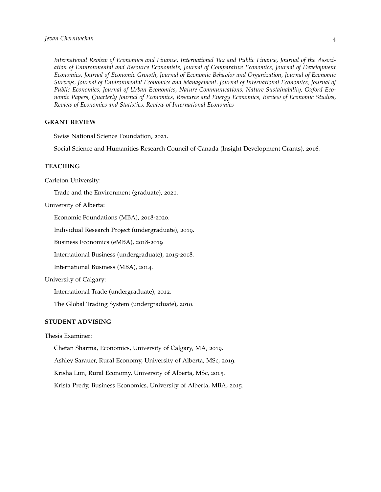*International Review of Economics and Finance, International Tax and Public Finance, Journal of the Association of Environmental and Resource Economists, Journal of Comparative Economics, Journal of Development Economics, Journal of Economic Growth, Journal of Economic Behavior and Organization, Journal of Economic Surveys, Journal of Environmental Economics and Management, Journal of International Economics, Journal of Public Economics, Journal of Urban Economics, Nature Communications, Nature Sustainability, Oxford Economic Papers, Quarterly Journal of Economics, Resource and Energy Economics, Review of Economic Studies, Review of Economics and Statistics, Review of International Economics*

# **GRANT REVIEW**

Swiss National Science Foundation, 2021.

Social Science and Humanities Research Council of Canada (Insight Development Grants), 2016.

# **TEACHING**

Carleton University:

Trade and the Environment (graduate), 2021.

University of Alberta:

Economic Foundations (MBA), 2018-2020.

Individual Research Project (undergraduate), 2019.

Business Economics (eMBA), 2018-2019

International Business (undergraduate), 2015-2018.

International Business (MBA), 2014.

University of Calgary:

International Trade (undergraduate), 2012.

The Global Trading System (undergraduate), 2010.

# **STUDENT ADVISING**

Thesis Examiner:

Chetan Sharma, Economics, University of Calgary, MA, 2019.

Ashley Sarauer, Rural Economy, University of Alberta, MSc, 2019.

Krisha Lim, Rural Economy, University of Alberta, MSc, 2015.

Krista Predy, Business Economics, University of Alberta, MBA, 2015.